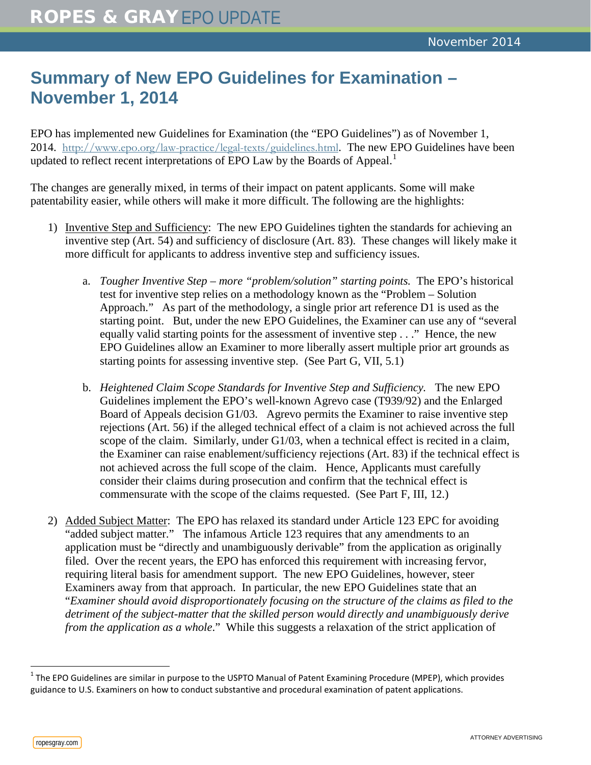## **Summary of New EPO Guidelines for Examination – November 1, 2014**

EPO has implemented new Guidelines for Examination (the "EPO Guidelines") as of November 1, 2014. <http://www.epo.org/law-practice/legal-texts/guidelines.html>. The new EPO Guidelines have been updated to reflect recent interpretations of EPO Law by the Boards of Appeal.<sup>[1](#page-0-0)</sup>

The changes are generally mixed, in terms of their impact on patent applicants. Some will make patentability easier, while others will make it more difficult. The following are the highlights:

- 1) Inventive Step and Sufficiency: The new EPO Guidelines tighten the standards for achieving an inventive step (Art. 54) and sufficiency of disclosure (Art. 83). These changes will likely make it more difficult for applicants to address inventive step and sufficiency issues.
	- a. *Tougher Inventive Step – more "problem/solution" starting points.* The EPO's historical test for inventive step relies on a methodology known as the "Problem – Solution Approach." As part of the methodology, a single prior art reference D1 is used as the starting point. But, under the new EPO Guidelines, the Examiner can use any of "several equally valid starting points for the assessment of inventive step . . ." Hence, the new EPO Guidelines allow an Examiner to more liberally assert multiple prior art grounds as starting points for assessing inventive step. (See Part G, VII, 5.1)
	- b. *Heightened Claim Scope Standards for Inventive Step and Sufficiency.* The new EPO Guidelines implement the EPO's well-known Agrevo case (T939/92) and the Enlarged Board of Appeals decision G1/03. Agrevo permits the Examiner to raise inventive step rejections (Art. 56) if the alleged technical effect of a claim is not achieved across the full scope of the claim. Similarly, under G1/03, when a technical effect is recited in a claim, the Examiner can raise enablement/sufficiency rejections (Art. 83) if the technical effect is not achieved across the full scope of the claim. Hence, Applicants must carefully consider their claims during prosecution and confirm that the technical effect is commensurate with the scope of the claims requested. (See Part F, III, 12.)
- 2) Added Subject Matter: The EPO has relaxed its standard under Article 123 EPC for avoiding "added subject matter." The infamous Article 123 requires that any amendments to an application must be "directly and unambiguously derivable" from the application as originally filed. Over the recent years, the EPO has enforced this requirement with increasing fervor, requiring literal basis for amendment support. The new EPO Guidelines, however, steer Examiners away from that approach. In particular, the new EPO Guidelines state that an "*Examiner should avoid disproportionately focusing on the structure of the claims as filed to the detriment of the subject-matter that the skilled person would directly and unambiguously derive from the application as a whole.*" While this suggests a relaxation of the strict application of

<span id="page-0-0"></span><sup>&</sup>lt;sup>1</sup> The EPO Guidelines are similar in purpose to the USPTO Manual of Patent Examining Procedure (MPEP), which provides guidance to U.S. Examiners on how to conduct substantive and procedural examination of patent applications.